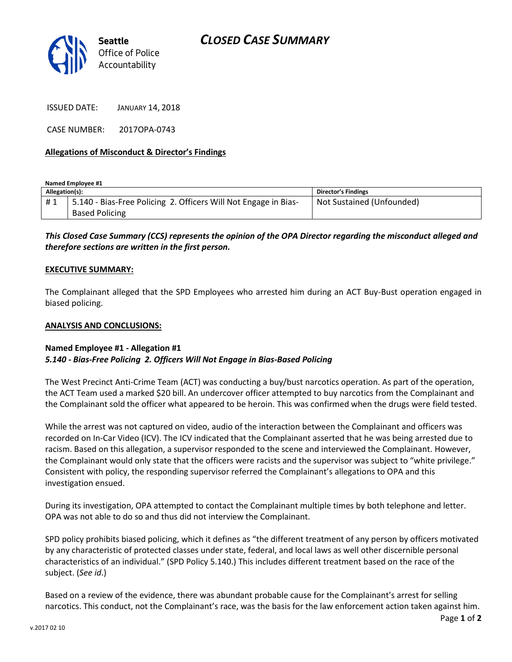

ISSUED DATE: JANUARY 14, 2018

CASE NUMBER: 2017OPA-0743

## **Allegations of Misconduct & Director's Findings**

**Named Employee #1**

| Allegation(s): |                                                                 | Director's Findings       |
|----------------|-----------------------------------------------------------------|---------------------------|
| #1             | 5.140 - Bias-Free Policing 2. Officers Will Not Engage in Bias- | Not Sustained (Unfounded) |
|                | <b>Based Policing</b>                                           |                           |

*This Closed Case Summary (CCS) represents the opinion of the OPA Director regarding the misconduct alleged and therefore sections are written in the first person.* 

### **EXECUTIVE SUMMARY:**

The Complainant alleged that the SPD Employees who arrested him during an ACT Buy-Bust operation engaged in biased policing.

### **ANALYSIS AND CONCLUSIONS:**

### **Named Employee #1 - Allegation #1** *5.140 - Bias-Free Policing 2. Officers Will Not Engage in Bias-Based Policing*

The West Precinct Anti-Crime Team (ACT) was conducting a buy/bust narcotics operation. As part of the operation, the ACT Team used a marked \$20 bill. An undercover officer attempted to buy narcotics from the Complainant and the Complainant sold the officer what appeared to be heroin. This was confirmed when the drugs were field tested.

While the arrest was not captured on video, audio of the interaction between the Complainant and officers was recorded on In-Car Video (ICV). The ICV indicated that the Complainant asserted that he was being arrested due to racism. Based on this allegation, a supervisor responded to the scene and interviewed the Complainant. However, the Complainant would only state that the officers were racists and the supervisor was subject to "white privilege." Consistent with policy, the responding supervisor referred the Complainant's allegations to OPA and this investigation ensued.

During its investigation, OPA attempted to contact the Complainant multiple times by both telephone and letter. OPA was not able to do so and thus did not interview the Complainant.

SPD policy prohibits biased policing, which it defines as "the different treatment of any person by officers motivated by any characteristic of protected classes under state, federal, and local laws as well other discernible personal characteristics of an individual." (SPD Policy 5.140.) This includes different treatment based on the race of the subject. (*See id*.)

Based on a review of the evidence, there was abundant probable cause for the Complainant's arrest for selling narcotics. This conduct, not the Complainant's race, was the basis for the law enforcement action taken against him.